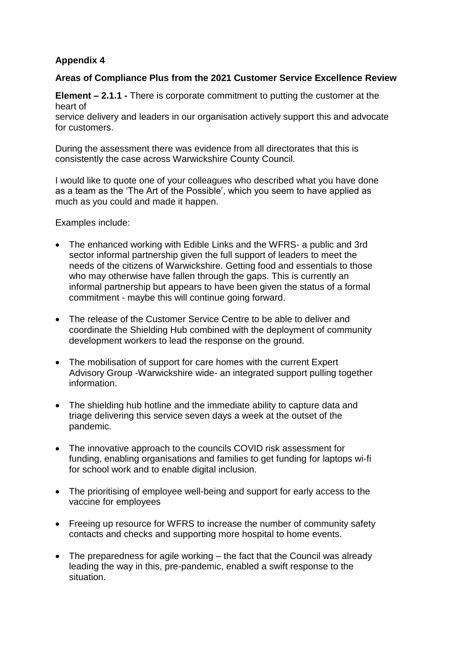## **Appendix 4**

## **Areas of Compliance Plus from the 2021 Customer Service Excellence Review**

**Element – 2.1.1 -** There is corporate commitment to putting the customer at the heart of

service delivery and leaders in our organisation actively support this and advocate for customers.

During the assessment there was evidence from all directorates that this is consistently the case across Warwickshire County Council.

I would like to quote one of your colleagues who described what you have done as a team as the 'The Art of the Possible', which you seem to have applied as much as you could and made it happen.

Examples include:

- The enhanced working with Edible Links and the WFRS- a public and 3rd sector informal partnership given the full support of leaders to meet the needs of the citizens of Warwickshire. Getting food and essentials to those who may otherwise have fallen through the gaps. This is currently an informal partnership but appears to have been given the status of a formal commitment - maybe this will continue going forward.
- The release of the Customer Service Centre to be able to deliver and coordinate the Shielding Hub combined with the deployment of community development workers to lead the response on the ground.
- The mobilisation of support for care homes with the current Expert Advisory Group -Warwickshire wide- an integrated support pulling together information.
- The shielding hub hotline and the immediate ability to capture data and triage delivering this service seven days a week at the outset of the pandemic.
- The innovative approach to the councils COVID risk assessment for funding, enabling organisations and families to get funding for laptops wi-fi for school work and to enable digital inclusion.
- The prioritising of employee well-being and support for early access to the vaccine for employees
- Freeing up resource for WFRS to increase the number of community safety contacts and checks and supporting more hospital to home events.
- The preparedness for agile working the fact that the Council was already leading the way in this, pre-pandemic, enabled a swift response to the situation.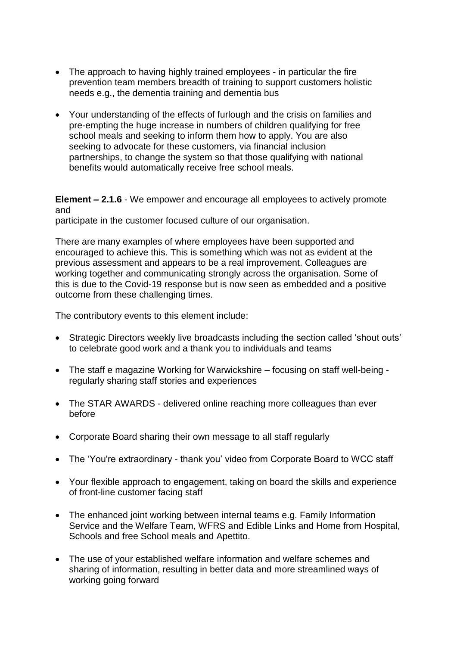- The approach to having highly trained employees in particular the fire prevention team members breadth of training to support customers holistic needs e.g., the dementia training and dementia bus
- Your understanding of the effects of furlough and the crisis on families and pre-empting the huge increase in numbers of children qualifying for free school meals and seeking to inform them how to apply. You are also seeking to advocate for these customers, via financial inclusion partnerships, to change the system so that those qualifying with national benefits would automatically receive free school meals.

**Element – 2.1.6** - We empower and encourage all employees to actively promote and

participate in the customer focused culture of our organisation.

There are many examples of where employees have been supported and encouraged to achieve this. This is something which was not as evident at the previous assessment and appears to be a real improvement. Colleagues are working together and communicating strongly across the organisation. Some of this is due to the Covid-19 response but is now seen as embedded and a positive outcome from these challenging times.

The contributory events to this element include:

- Strategic Directors weekly live broadcasts including the section called 'shout outs' to celebrate good work and a thank you to individuals and teams
- The staff e magazine Working for Warwickshire focusing on staff well-being regularly sharing staff stories and experiences
- The STAR AWARDS delivered online reaching more colleagues than ever before
- Corporate Board sharing their own message to all staff regularly
- The 'You're extraordinary thank you' video from Corporate Board to WCC staff
- Your flexible approach to engagement, taking on board the skills and experience of front-line customer facing staff
- The enhanced joint working between internal teams e.g. Family Information Service and the Welfare Team, WFRS and Edible Links and Home from Hospital, Schools and free School meals and Apettito.
- The use of your established welfare information and welfare schemes and sharing of information, resulting in better data and more streamlined ways of working going forward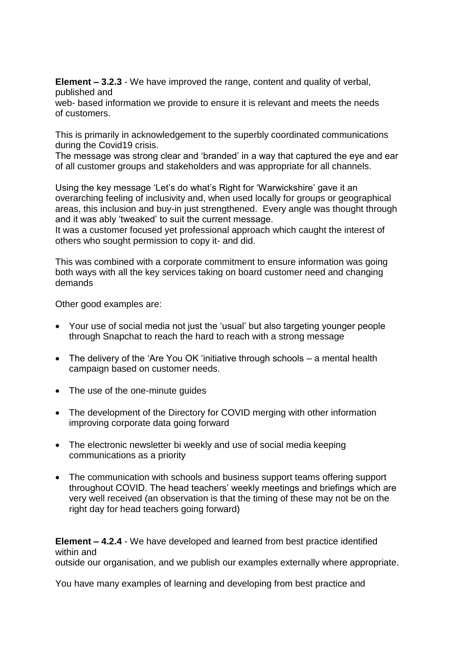**Element – 3.2.3** - We have improved the range, content and quality of verbal, published and

web- based information we provide to ensure it is relevant and meets the needs of customers.

This is primarily in acknowledgement to the superbly coordinated communications during the Covid19 crisis.

The message was strong clear and 'branded' in a way that captured the eye and ear of all customer groups and stakeholders and was appropriate for all channels.

Using the key message 'Let's do what's Right for 'Warwickshire' gave it an overarching feeling of inclusivity and, when used locally for groups or geographical areas, this inclusion and buy-in just strengthened. Every angle was thought through and it was ably 'tweaked' to suit the current message.

It was a customer focused yet professional approach which caught the interest of others who sought permission to copy it- and did.

This was combined with a corporate commitment to ensure information was going both ways with all the key services taking on board customer need and changing demands

Other good examples are:

- Your use of social media not just the 'usual' but also targeting younger people through Snapchat to reach the hard to reach with a strong message
- The delivery of the 'Are You OK 'initiative through schools a mental health campaign based on customer needs.
- The use of the one-minute guides
- The development of the Directory for COVID merging with other information improving corporate data going forward
- The electronic newsletter bi weekly and use of social media keeping communications as a priority
- The communication with schools and business support teams offering support throughout COVID. The head teachers' weekly meetings and briefings which are very well received (an observation is that the timing of these may not be on the right day for head teachers going forward)

**Element – 4.2.4** - We have developed and learned from best practice identified within and

outside our organisation, and we publish our examples externally where appropriate.

You have many examples of learning and developing from best practice and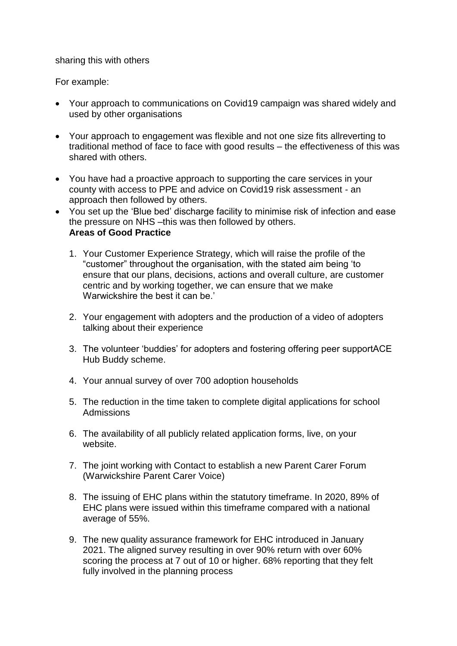sharing this with others

For example:

- Your approach to communications on Covid19 campaign was shared widely and used by other organisations
- Your approach to engagement was flexible and not one size fits allreverting to traditional method of face to face with good results – the effectiveness of this was shared with others.
- You have had a proactive approach to supporting the care services in your county with access to PPE and advice on Covid19 risk assessment - an approach then followed by others.
- You set up the 'Blue bed' discharge facility to minimise risk of infection and ease the pressure on NHS-this was then followed by others. **Areas of Good Practice**
	- 1. Your Customer Experience Strategy, which will raise the profile of the "customer" throughout the organisation, with the stated aim being 'to ensure that our plans, decisions, actions and overall culture, are customer centric and by working together, we can ensure that we make Warwickshire the best it can be.'
	- 2. Your engagement with adopters and the production of a video of adopters talking about their experience
	- 3. The volunteer 'buddies' for adopters and fostering offering peer supportACE Hub Buddy scheme.
	- 4. Your annual survey of over 700 adoption households
	- 5. The reduction in the time taken to complete digital applications for school Admissions
	- 6. The availability of all publicly related application forms, live, on your website.
	- 7. The joint working with Contact to establish a new Parent Carer Forum (Warwickshire Parent Carer Voice)
	- 8. The issuing of EHC plans within the statutory timeframe. In 2020, 89% of EHC plans were issued within this timeframe compared with a national average of 55%.
	- 9. The new quality assurance framework for EHC introduced in January 2021. The aligned survey resulting in over 90% return with over 60% scoring the process at 7 out of 10 or higher. 68% reporting that they felt fully involved in the planning process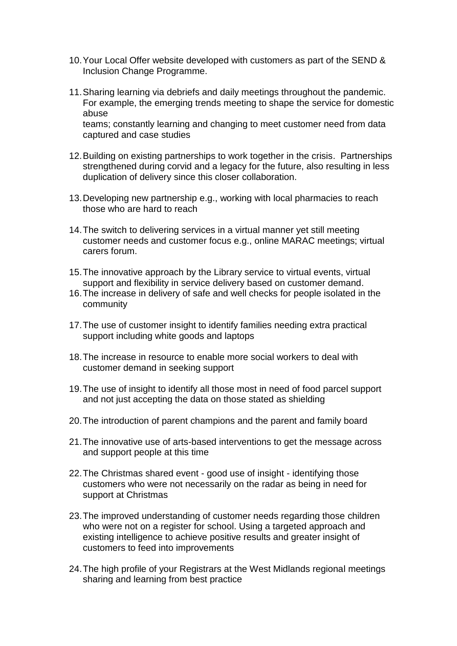- 10.Your Local Offer website developed with customers as part of the SEND & Inclusion Change Programme.
- 11.Sharing learning via debriefs and daily meetings throughout the pandemic. For example, the emerging trends meeting to shape the service for domestic abuse teams; constantly learning and changing to meet customer need from data captured and case studies
- 12.Building on existing partnerships to work together in the crisis. Partnerships strengthened during corvid and a legacy for the future, also resulting in less duplication of delivery since this closer collaboration.
- 13.Developing new partnership e.g., working with local pharmacies to reach those who are hard to reach
- 14.The switch to delivering services in a virtual manner yet still meeting customer needs and customer focus e.g., online MARAC meetings; virtual carers forum.
- 15.The innovative approach by the Library service to virtual events, virtual support and flexibility in service delivery based on customer demand.
- 16.The increase in delivery of safe and well checks for people isolated in the community
- 17.The use of customer insight to identify families needing extra practical support including white goods and laptops
- 18.The increase in resource to enable more social workers to deal with customer demand in seeking support
- 19.The use of insight to identify all those most in need of food parcel support and not just accepting the data on those stated as shielding
- 20.The introduction of parent champions and the parent and family board
- 21.The innovative use of arts-based interventions to get the message across and support people at this time
- 22.The Christmas shared event good use of insight identifying those customers who were not necessarily on the radar as being in need for support at Christmas
- 23.The improved understanding of customer needs regarding those children who were not on a register for school. Using a targeted approach and existing intelligence to achieve positive results and greater insight of customers to feed into improvements
- 24.The high profile of your Registrars at the West Midlands regional meetings sharing and learning from best practice